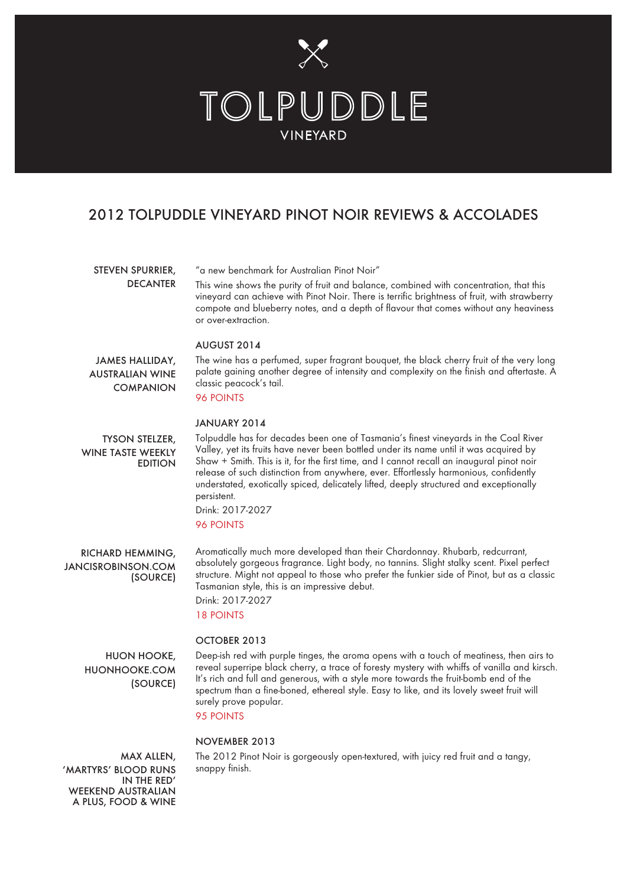

# 2012 TOLPUDDLE VINEYARD PINOT NOIR REVIEWS & ACCOLADES

## STEVEN SPURRIER, DECANTER

"a new benchmark for Australian Pinot Noir"

This wine shows the purity of fruit and balance, combined with concentration, that this vineyard can achieve with Pinot Noir. There is terrific brightness of fruit, with strawberry compote and blueberry notes, and a depth of flavour that comes without any heaviness or over-extraction.

### AUGUST 2014

JAMES HALLIDAY, AUSTRALIAN WINE **COMPANION**  The wine has a perfumed, super fragrant bouquet, the black cherry fruit of the very long palate gaining another degree of intensity and complexity on the finish and aftertaste. A classic peacock's tail.

# 96 POINTS

## JANUARY 2014

TYSON STELZER, WINE TASTE WEEKLY EDITION Tolpuddle has for decades been one of Tasmania's finest vineyards in the Coal River Valley, yet its fruits have never been bottled under its name until it was acquired by Shaw + Smith. This is it, for the first time, and I cannot recall an inaugural pinot noir release of such distinction from anywhere, ever. Effortlessly harmonious, confidently understated, exotically spiced, delicately lifted, deeply structured and exceptionally persistent.

Drink: 2017-2027 96 POINTS

RICHARD HEMMING, JANCISROBINSON.COM (SOURCE)

Aromatically much more developed than their Chardonnay. Rhubarb, redcurrant, absolutely gorgeous fragrance. Light body, no tannins. Slight stalky scent. Pixel perfect structure. Might not appeal to those who prefer the funkier side of Pinot, but as a classic Tasmanian style, this is an impressive debut. Drink: 2017-2027 18 POINTS

## OCTOBER 2013

HUON HOOKE, HUONHOOKE.COM (SOURCE) Deep-ish red with purple tinges, the aroma opens with a touch of meatiness, then airs to reveal superripe black cherry, a trace of foresty mystery with whiffs of vanilla and kirsch. It's rich and full and generous, with a style more towards the fruit-bomb end of the spectrum than a fine-boned, ethereal style. Easy to like, and its lovely sweet fruit will surely prove popular.

95 POINTS

### NOVEMBER 2013

MAX ALLEN, 'MARTYRS' BLOOD RUNS IN THE RED' WEEKEND AUSTRALIAN A PLUS, FOOD & WINE The 2012 Pinot Noir is gorgeously open-textured, with juicy red fruit and a tangy, snappy finish.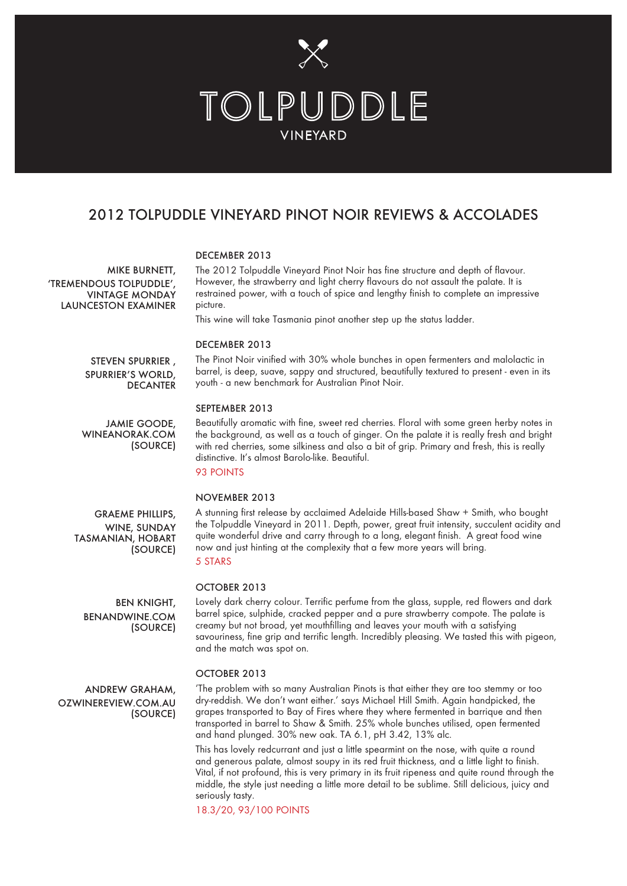

# 2012 TOLPUDDLE VINEYARD PINOT NOIR REVIEWS & ACCOLADES

## DECEMBER 2013

'TREMENDOUS TOLPUDDLE', VINTAGE MONDAY LAUNCESTON EXAMINER The 2012 Tolpuddle Vineyard Pinot Noir has fine structure and depth of flavour. However, the strawberry and light cherry flavours do not assault the palate. It is restrained power, with a touch of spice and lengthy finish to complete an impressive picture.

This wine will take Tasmania pinot another step up the status ladder.

#### DECEMBER 2013

STEVEN SPURRIER , SPURRIER'S WORLD, **DECANTER** 

JAMIE GOODE, WINEANORAK.COM

(SOURCE)

The Pinot Noir vinified with 30% whole bunches in open fermenters and malolactic in barrel, is deep, suave, sappy and structured, beautifully textured to present - even in its youth - a new benchmark for Australian Pinot Noir.

### SEPTEMBER 2013

Beautifully aromatic with fine, sweet red cherries. Floral with some green herby notes in the background, as well as a touch of ginger. On the palate it is really fresh and bright with red cherries, some silkiness and also a bit of grip. Primary and fresh, this is really distinctive. It's almost Barolo-like. Beautiful.

93 POINTS

#### NOVEMBER 2013

WINE, SUNDAY (SOURCE)

A stunning first release by acclaimed Adelaide Hills-based Shaw + Smith, who bought the Tolpuddle Vineyard in 2011. Depth, power, great fruit intensity, succulent acidity and quite wonderful drive and carry through to a long, elegant finish. A great food wine now and just hinting at the complexity that a few more years will bring. 5 STARS

#### OCTOBER 2013

Lovely dark cherry colour. Terrific perfume from the glass, supple, red flowers and dark barrel spice, sulphide, cracked pepper and a pure strawberry compote. The palate is creamy but not broad, yet mouthfilling and leaves your mouth with a satisfying savouriness, fine grip and terrific length. Incredibly pleasing. We tasted this with pigeon, and the match was spot on.

### OCTOBER 2013

'The problem with so many Australian Pinots is that either they are too stemmy or too dry-reddish. We don't want either.' says Michael Hill Smith. Again handpicked, the grapes transported to Bay of Fires where they where fermented in barrique and then transported in barrel to Shaw & Smith. 25% whole bunches utilised, open fermented and hand plunged. 30% new oak. TA 6.1, pH 3.42, 13% alc.

This has lovely redcurrant and just a little spearmint on the nose, with quite a round and generous palate, almost soupy in its red fruit thickness, and a little light to finish. Vital, if not profound, this is very primary in its fruit ripeness and quite round through the middle, the style just needing a little more detail to be sublime. Still delicious, juicy and seriously tasty.

18.3/20, 93/100 POINTS

MIKE BURNETT,

GRAEME PHILLIPS, TASMANIAN, HOBART

> BEN KNIGHT, BENANDWINE.COM (SOURCE)

ANDREW GRAHAM, OZWINEREVIEW.COM.AU (SOURCE)